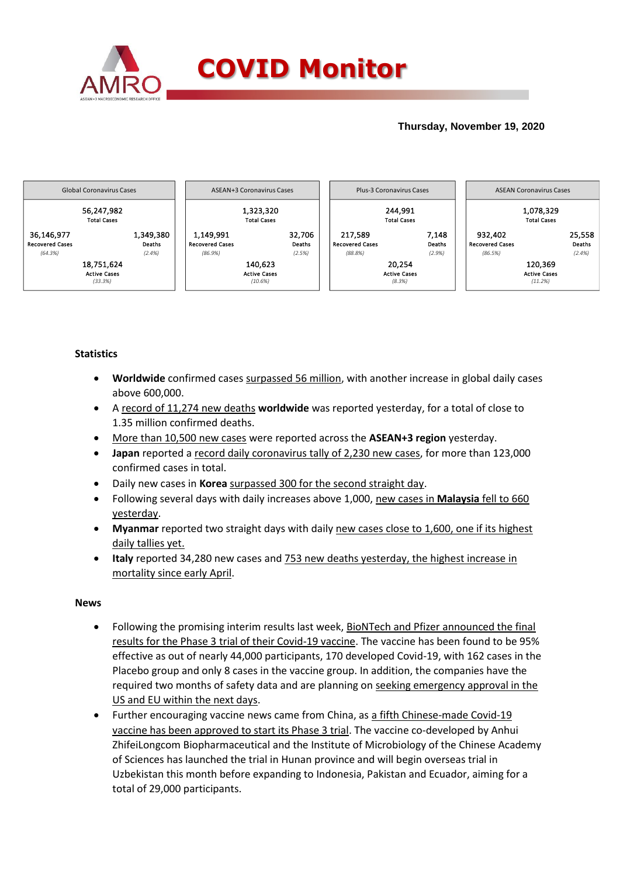

### **Thursday, November 19, 2020**



### **Statistics**

- **Worldwide** confirmed cases surpassed 56 million, with another increase in global daily cases above 600,000.
- A record of 11,274 new deaths **worldwide** was reported yesterday, for a total of close to 1.35 million confirmed deaths.
- More than 10,500 new cases were reported across the **ASEAN+3 region** yesterday.
- **Japan** reported a record daily coronavirus tally of 2,230 new cases, for more than 123,000 confirmed cases in total.
- Daily new cases in **Korea** surpassed 300 for the second straight day.
- Following several days with daily increases above 1,000, new cases in **Malaysia** fell to 660 yesterday.
- **Myanmar** reported two straight days with daily new cases close to 1,600, one if its highest daily tallies yet.
- **Italy** reported 34,280 new cases and 753 new deaths yesterday, the highest increase in mortality since early April.

### **News**

- Following the promising interim results last week, BioNTech and Pfizer announced the final results for the Phase 3 trial of their Covid-19 vaccine. The vaccine has been found to be 95% effective as out of nearly 44,000 participants, 170 developed Covid-19, with 162 cases in the Placebo group and only 8 cases in the vaccine group. In addition, the companies have the required two months of safety data and are planning on seeking emergency approval in the US and EU within the next days.
- Further encouraging vaccine news came from China, as a fifth Chinese-made Covid-19 vaccine has been approved to start its Phase 3 trial. The vaccine co-developed by Anhui ZhifeiLongcom Biopharmaceutical and the Institute of Microbiology of the Chinese Academy of Sciences has launched the trial in Hunan province and will begin overseas trial in Uzbekistan this month before expanding to Indonesia, Pakistan and Ecuador, aiming for a total of 29,000 participants.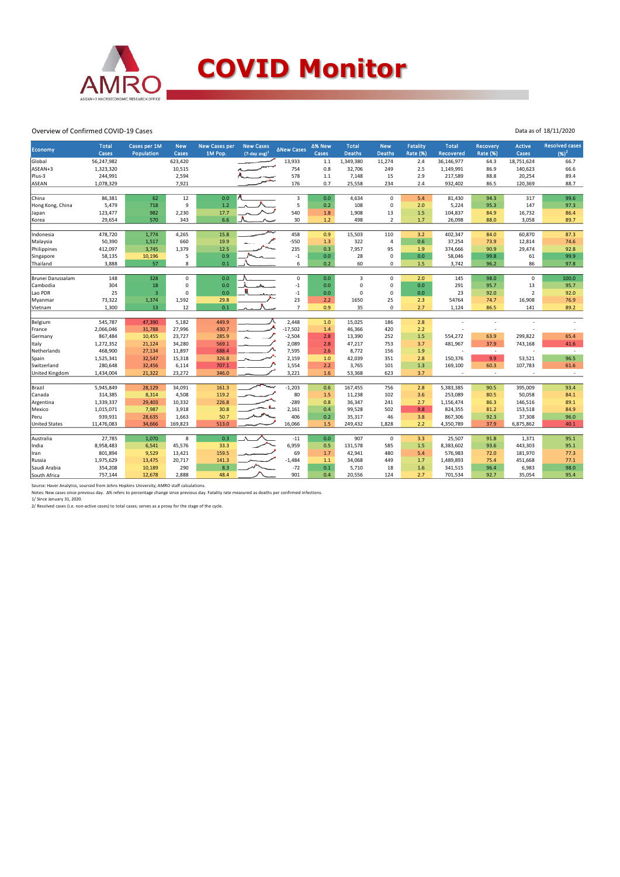

## **COVID Monitor**

Data as of 18/11/2020

#### Overview of Confirmed COVID-19 Cases

| Economy              | <b>Total</b> | Cases per 1M         | <b>New</b>     | <b>New Cases per</b> | <b>New Cases</b>    | <b>ANew Cases</b>       | ∆% New | <b>Total</b>  | <b>New</b>     | <b>Fatality</b>  | <b>Total</b>     | <b>Recovery</b> | <b>Active</b>       | <b>Resolved cases</b> |
|----------------------|--------------|----------------------|----------------|----------------------|---------------------|-------------------------|--------|---------------|----------------|------------------|------------------|-----------------|---------------------|-----------------------|
|                      | <b>Cases</b> | Population           | Cases          | 1M Pop.              | $(7$ -day avg $)^1$ |                         | Cases  | <b>Deaths</b> | <b>Deaths</b>  | <b>Rate (%)</b>  | <b>Recovered</b> | <b>Rate (%)</b> | Cases               | $(96)^2$              |
| Global               | 56,247,982   |                      | 623,420        |                      |                     | 13,933                  | 1.1    | 1,349,380     | 11,274         | 2.4              | 36,146,977       | 64.3            | 18,751,624          | 66.7                  |
| ASEAN+3              | 1,323,320    |                      | 10,515         |                      |                     | 754                     | 0.8    | 32,706        | 249            | 2.5              | 1,149,991        | 86.9            | 140,623             | 66.6                  |
| Plus-3               | 244,991      |                      | 2,594          |                      |                     | 578                     | $1.1$  | 7,148         | 15             | 2.9              | 217,589          | 88.8            | 20,254              | 89.4                  |
| <b>ASEAN</b>         | 1,078,329    |                      | 7,921          |                      |                     | 176                     | 0.7    | 25,558        | 234            | 2.4              | 932,402          | 86.5            | 120,369             | 88.7                  |
|                      |              |                      |                |                      |                     |                         |        |               |                |                  |                  |                 |                     |                       |
| China                | 86,381       | 62                   | 12             | 0.0                  |                     | $\overline{\mathbf{3}}$ | 0.0    | 4,634         | $\Omega$       | 5.4              | 81,430           | 94.3            | 317                 | 99.6                  |
| Hong Kong, China     | 5,479        | 718                  | $\overline{9}$ | 1.2                  |                     | 5                       | 0.2    | 108           | $\mathbf 0$    | 2.0              | 5,224            | 95.3            | 147                 | 97.3                  |
| Japan                | 123,477      | 982                  | 2,230          | 17.7                 |                     | 540                     | 1.8    | 1,908         | 13             | 1.5              | 104,837          | 84.9            | 16,732              | 86.4                  |
| Korea                | 29,654       | 570                  | 343            | 6.6                  |                     | 30                      | $1.2$  | 498           | $\overline{2}$ | 1.7              | 26,098           | 88.0            | 3,058               | 89.7                  |
|                      |              |                      |                |                      |                     |                         |        |               |                |                  |                  |                 |                     |                       |
| Indonesia            | 478,720      | 1,774                | 4,265          | 15.8                 |                     | 458                     | 0.9    | 15,503        | 110            | 3.2              | 402,347          | 84.0            | 60,870              | 87.3                  |
| Malaysia             | 50,390       | 1,517                | 660            | 19.9                 |                     | $-550$                  | 1.3    | 322           | $\overline{4}$ | 0.6              | 37,254           | 73.9            | 12,814              | 74.6                  |
| Philippines          | 412,097      | 3,745                | 1,379          | 12.5                 |                     | 235                     | 0.3    | 7,957         | 95             | 1.9              | 374,666          | 90.9            | 29,474              | 92.8                  |
| Singapore            | 58,135       | 10,196               | 5              | 0.9                  |                     | $^{\rm -1}$             | 0.0    | 28            | $\mathbf 0$    | 0.0              | 58,046           | 99.8            | 61                  | 99.9                  |
| Thailand             | 3,888        | 57                   | 8              | 0.1                  |                     | 6                       | 0.2    | 60            | 0              | 1.5              | 3,742            | 96.2            | 86                  | 97.8                  |
|                      |              |                      |                |                      |                     |                         |        |               |                |                  |                  |                 |                     |                       |
| Brunei Darussalam    | 148          | 328                  | $\mathbf 0$    | 0.0                  |                     | $\mathsf 0$             | 0.0    | 3             | $\mathbf 0$    | 2.0              | 145              | 98.0            | $\mathsf{O}\xspace$ | 100.0                 |
| Cambodia             | 304          | 18<br>$\overline{3}$ | $\mathbf 0$    | 0.0                  |                     | $-1$                    | 0.0    | $\mathbf 0$   | $\mathbf 0$    | 0.0              | 291              | 95.7            | 13                  | 95.7                  |
| Lao PDR              | 25           |                      | $\mathbf 0$    | 0.0                  |                     | $-1$                    | 0.0    | $\Omega$      | $\mathbf 0$    | 0.0 <sub>1</sub> | 23               | 92.0            | $\overline{2}$      | 92.0                  |
| Myanmar              | 73,322       | 1,374                | 1,592          | 29.8                 |                     | 23                      | 2.2    | 1650          | 25             | 2.3              | 54764            | 74.7            | 16,908              | 76.9                  |
| Vietnam              | 1,300        | 13                   | 12             | 0.1                  |                     | $\overline{7}$          | 0.9    | 35            | $\mathbf 0$    | 2.7              | 1,124            | 86.5            | 141                 | 89.2                  |
| Belgium              | 545,787      | 47,390               | 5,182          | 449.9                |                     | 2,448                   | 1.0    | 15,025        | 186            | 2.8              |                  |                 |                     |                       |
| France               | 2,066,046    | 31,788               | 27,996         | 430.7                |                     | $-17,502$               | 1.4    | 46,366        | 420            | 2.2              |                  |                 |                     |                       |
| Germany              | 867,484      | 10,455               | 23,727         | 285.9                |                     | $-2,504$                | 2.8    | 13,390        | 252            | 1.5              | 554,272          | 63.9            | 299,822             | 65.4                  |
|                      | 1,272,352    | 21,124               | 34,280         | 569.1                |                     | 2,089                   | 2.8    | 47,217        | 753            | 3.7              | 481,967          | 37.9            | 743,168             | 41.6                  |
| Italy<br>Netherlands | 468,900      | 27,134               | 11,897         | 688.4                |                     | 7,595                   | 2.6    | 8,772         | 156            | 1.9              |                  | $\sim$          |                     | $\sim$                |
|                      | 1,525,341    | 32,547               | 15,318         | 326.8                |                     | 2,159                   | 1.0    | 42,039        | 351            | 2.8              | 150,376          | 9.9             | 53,521              | 96.5                  |
| Spain<br>Switzerland | 280,648      | 32,456               | 6,114          | 707.1                |                     | 1,554                   | 2.2    | 3,765         | 101            | 1.3              | 169,100          | 60.3            | 107,783             | 61.6                  |
| United Kingdom       | 1,434,004    | 21,322               | 23,272         | 346.0                |                     | 3,221                   | 1.6    | 53,368        | 623            | 3.7              |                  | $\sim$          |                     | $\sim$                |
|                      |              |                      |                |                      |                     |                         |        |               |                |                  |                  |                 |                     |                       |
| Brazil               | 5,945,849    | 28,129               | 34,091         | 161.3                | رسيسا               | $-1,203$                | 0.6    | 167,455       | 756            | 2.8              | 5,383,385        | 90.5            | 395,009             | 93.4                  |
| Canada               | 314,385      | 8,314                | 4,508          | 119.2                |                     | 80                      | 1.5    | 11,238        | 102            | 3.6              | 253,089          | 80.5            | 50,058              | 84.1                  |
| Argentina            | 1,339,337    | 29,403               | 10,332         | 226.8                |                     | $-289$                  | 0.8    | 36,347        | 241            | 2.7              | 1,156,474        | 86.3            | 146,516             | 89.1                  |
| Mexico               | 1,015,071    | 7,987                | 3,918          | 30.8                 |                     | 2,161                   | 0.4    | 99,528        | 502            | 9.8              | 824,355          | 81.2            | 153,518             | 84.9                  |
| Peru                 | 939,931      | 28,635               | 1,663          | 50.7                 |                     | 406                     | 0.2    | 35,317        | 46             | 3.8              | 867,306          | 92.3            | 37,308              | 96.0                  |
| <b>United States</b> | 11,476,083   | 34,666               | 169,823        | 513.0                |                     | 16,066                  | 1.5    | 249,432       | 1,828          | 2.2              | 4,350,789        | 37.9            | 6,875,862           | 40.1                  |
|                      |              |                      |                |                      |                     |                         |        |               |                |                  |                  |                 |                     |                       |
| Australia            | 27,785       | 1,070                | 8              | 0.3                  |                     | $\textbf{-11}$          | 0.0    | 907           | $\mathbf 0$    | 3.3              | 25,507           | 91.8            | 1,371               | 95.1                  |
| India                | 8,958,483    | 6,541                | 45,576         | 33.3                 |                     | 6,959                   | 0.5    | 131,578       | 585            | 1.5              | 8,383,602        | 93.6            | 443,303             | 95.1                  |
| Iran                 | 801,894      | 9,529                | 13,421         | 159.5                |                     | 69                      | 1.7    | 42,941        | 480            | 5.4              | 576,983          | 72.0            | 181,970             | 77.3                  |
| Russia               | 1,975,629    | 13,475               | 20,717         | 141.3                |                     | $-1,484$                | 1.1    | 34,068        | 449            | 1.7              | 1,489,893        | 75.4            | 451,668             | 77.1                  |
| Saudi Arabia         | 354,208      | 10,189               | 290            | 8.3                  |                     | $-72$                   | 0.1    | 5,710         | 18             | 1.6              | 341,515          | 96.4            | 6,983               | 98.0                  |
| South Africa         | 757,144      | 12,678               | 2,888          | 48.4                 |                     | 901                     | 0.4    | 20,556        | 124            | 2.7              | 701,534          | 92.7            | 35,054              | 95.4                  |
|                      |              |                      |                |                      |                     |                         |        |               |                |                  |                  |                 |                     |                       |

Source: Haver Analytics, sourced from Johns Hopkins University; AMRO staff calculations.<br>Notes: New cases since previous day. Δ% refers to percentage change since previous day. Fatality rate measured as deaths per confirm